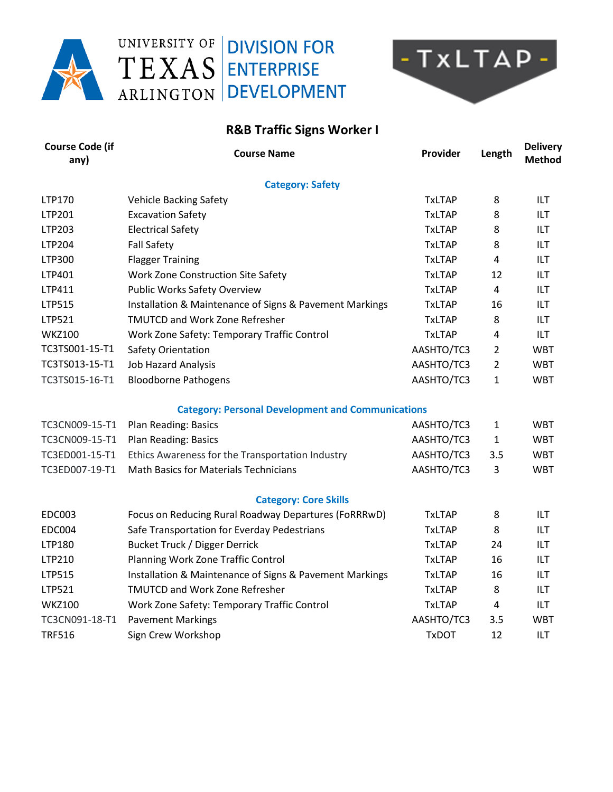

## UNIVERSITY OF **DIVISION FOR** TEXAS ENTERPRISE ARLINGTON DEVELOPMENT



## **R&B Traffic Signs Worker I**

| <b>Course Code (if</b><br>any) | <b>Course Name</b>                                       | Provider      | Length                  | <b>Delivery</b><br><b>Method</b> |
|--------------------------------|----------------------------------------------------------|---------------|-------------------------|----------------------------------|
|                                | <b>Category: Safety</b>                                  |               |                         |                                  |
| LTP170                         | <b>Vehicle Backing Safety</b>                            | <b>TxLTAP</b> | 8                       | ILT                              |
| LTP201                         | <b>Excavation Safety</b>                                 | <b>TxLTAP</b> | 8                       | ILT                              |
| LTP203                         | <b>Electrical Safety</b>                                 | <b>TxLTAP</b> | 8                       | ILT                              |
| LTP204                         | <b>Fall Safety</b>                                       | <b>TxLTAP</b> | 8                       | ILT                              |
| LTP300                         | <b>Flagger Training</b>                                  | <b>TxLTAP</b> | $\overline{4}$          | ILT                              |
| LTP401                         | <b>Work Zone Construction Site Safety</b>                | <b>TxLTAP</b> | 12                      | ILT                              |
| LTP411                         | <b>Public Works Safety Overview</b>                      | <b>TxLTAP</b> | 4                       | ILT                              |
| LTP515                         | Installation & Maintenance of Signs & Pavement Markings  | <b>TxLTAP</b> | 16                      | ILT                              |
| LTP521                         | <b>TMUTCD and Work Zone Refresher</b>                    | <b>TxLTAP</b> | 8                       | ILT                              |
| <b>WKZ100</b>                  | Work Zone Safety: Temporary Traffic Control              | <b>TxLTAP</b> | 4                       | ILT                              |
| TC3TS001-15-T1                 | Safety Orientation                                       | AASHTO/TC3    | $\overline{2}$          | <b>WBT</b>                       |
| TC3TS013-15-T1                 | <b>Job Hazard Analysis</b>                               | AASHTO/TC3    | $\overline{2}$          | <b>WBT</b>                       |
| TC3TS015-16-T1                 | <b>Bloodborne Pathogens</b>                              | AASHTO/TC3    | 1                       | <b>WBT</b>                       |
|                                | <b>Category: Personal Development and Communications</b> |               |                         |                                  |
| TC3CN009-15-T1                 | Plan Reading: Basics                                     | AASHTO/TC3    | 1                       | <b>WBT</b>                       |
| TC3CN009-15-T1                 | Plan Reading: Basics                                     | AASHTO/TC3    | 1                       | <b>WBT</b>                       |
| TC3ED001-15-T1                 | Ethics Awareness for the Transportation Industry         | AASHTO/TC3    | 3.5                     | <b>WBT</b>                       |
| TC3ED007-19-T1                 | <b>Math Basics for Materials Technicians</b>             | AASHTO/TC3    | 3                       | <b>WBT</b>                       |
|                                | <b>Category: Core Skills</b>                             |               |                         |                                  |
| <b>EDC003</b>                  | Focus on Reducing Rural Roadway Departures (FoRRRwD)     | <b>TxLTAP</b> | 8                       | ILT                              |
| <b>EDC004</b>                  | Safe Transportation for Everday Pedestrians              | <b>TxLTAP</b> | 8                       | ILT                              |
| LTP180                         | <b>Bucket Truck / Digger Derrick</b>                     | <b>TxLTAP</b> | 24                      | ILT                              |
| LTP210                         | Planning Work Zone Traffic Control                       | <b>TxLTAP</b> | 16                      | ILT                              |
| LTP515                         | Installation & Maintenance of Signs & Pavement Markings  | <b>TxLTAP</b> | 16                      | ILT                              |
| LTP521                         | <b>TMUTCD and Work Zone Refresher</b>                    | <b>TxLTAP</b> | 8                       | ILT                              |
| <b>WKZ100</b>                  | Work Zone Safety: Temporary Traffic Control              | <b>TxLTAP</b> | $\overline{\mathbf{4}}$ | ILT                              |
| TC3CN091-18-T1                 | <b>Pavement Markings</b>                                 | AASHTO/TC3    | 3.5                     | <b>WBT</b>                       |
| <b>TRF516</b>                  | Sign Crew Workshop                                       | <b>TxDOT</b>  | 12                      | ILT                              |